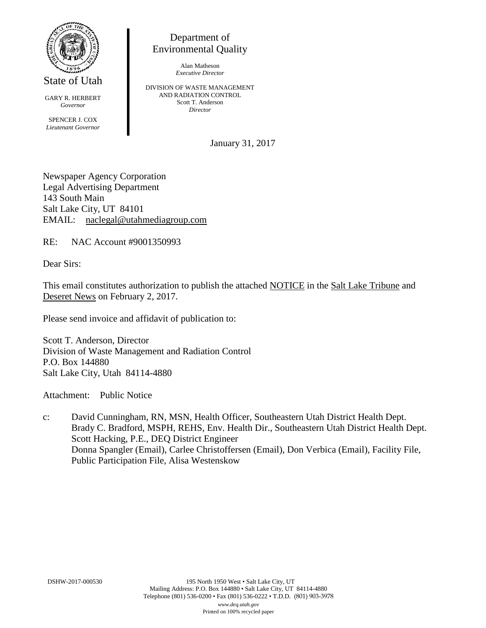

State of Utah

GARY R. HERBERT *Governor* SPENCER J. COX *Lieutenant Governor*

Department of Environmental Quality

> Alan Matheson *Executive Director*

DIVISION OF WASTE MANAGEMENT AND RADIATION CONTROL Scott T. Anderson *Director*

January 31, 2017

Newspaper Agency Corporation Legal Advertising Department 143 South Main Salt Lake City, UT 84101 EMAIL: naclegal@utahmediagroup.com

RE: NAC Account #9001350993

Dear Sirs:

This email constitutes authorization to publish the attached NOTICE in the Salt Lake Tribune and Deseret News on February 2, 2017.

Please send invoice and affidavit of publication to:

Scott T. Anderson, Director Division of Waste Management and Radiation Control P.O. Box 144880 Salt Lake City, Utah 84114-4880

Attachment: Public Notice

c: David Cunningham, RN, MSN, Health Officer, Southeastern Utah District Health Dept. Brady C. Bradford, MSPH, REHS, Env. Health Dir., Southeastern Utah District Health Dept. Scott Hacking, P.E., DEQ District Engineer Donna Spangler (Email), Carlee Christoffersen (Email), Don Verbica (Email), Facility File, Public Participation File, Alisa Westenskow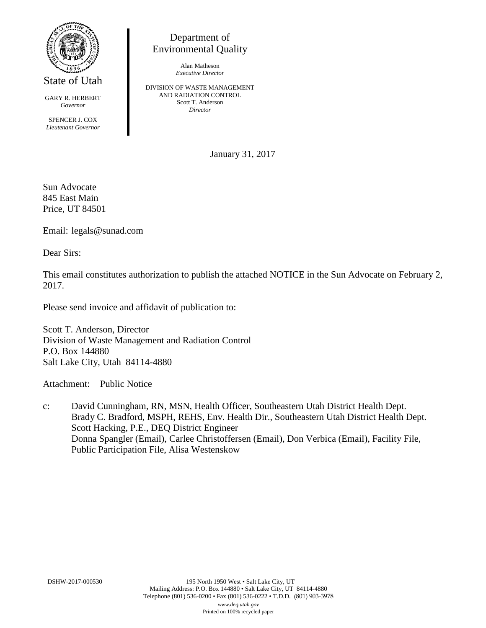

State of Utah

GARY R. HERBERT *Governor* SPENCER J. COX *Lieutenant Governor*

Department of Environmental Quality

> Alan Matheson *Executive Director*

DIVISION OF WASTE MANAGEMENT AND RADIATION CONTROL Scott T. Anderson *Director*

January 31, 2017

Sun Advocate 845 East Main Price, UT 84501

Email: legals@sunad.com

Dear Sirs:

This email constitutes authorization to publish the attached NOTICE in the Sun Advocate on February 2, 2017.

Please send invoice and affidavit of publication to:

Scott T. Anderson, Director Division of Waste Management and Radiation Control P.O. Box 144880 Salt Lake City, Utah 84114-4880

Attachment: Public Notice

c: David Cunningham, RN, MSN, Health Officer, Southeastern Utah District Health Dept. Brady C. Bradford, MSPH, REHS, Env. Health Dir., Southeastern Utah District Health Dept. Scott Hacking, P.E., DEQ District Engineer Donna Spangler (Email), Carlee Christoffersen (Email), Don Verbica (Email), Facility File, Public Participation File, Alisa Westenskow